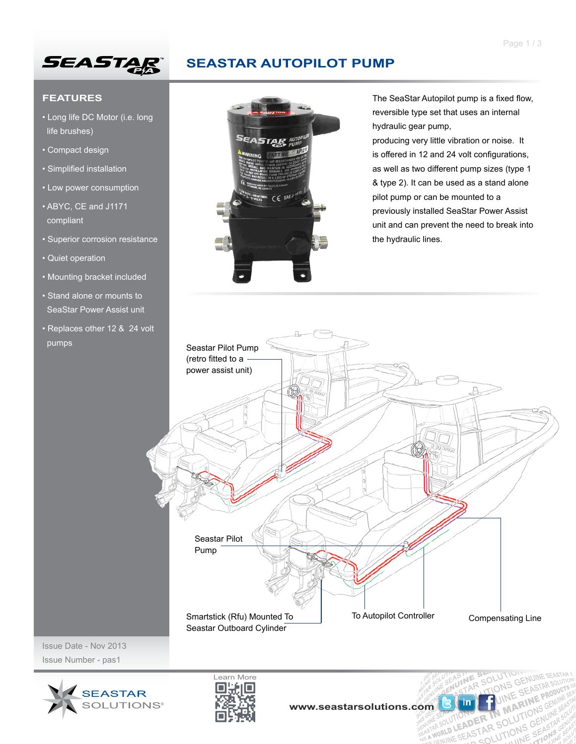

# **SEASTAR AUTOPILOT PUMP**

OTHE SEASTAR

AR SOLU

ONS

**BEARSTAR SOLUTIONS GENERAL PROPERTY** ER IN MARTIONS GENERAL

UINE BINE

ASINE

#### **FEATURES**

- Long life DC Motor (i.e. long life brushes)
- Compact design
- Simplified installation
- Low power consumption
- ABYC, CE and J1171 compliant
- Superior corrosion resistance
- Quiet operation
- Mounting bracket included
- Stand alone or mounts to SeaStar Power Assist unit
- Replaces other 12 & 24 volt pumps



The SeaStar Autopilot pump is a fixed flow, reversible type set that uses an internal hydraulic gear pump,

producing very little vibration or noise. It is offered in 12 and 24 volt configurations, as well as two different pump sizes (type 1 & type 2). It can be used as a stand alone pilot pump or can be mounted to a previously installed SeaStar Power Assist unit and can prevent the need to break into the hydraulic lines.



Issue Date - Nov 2013 Issue Number - pas1



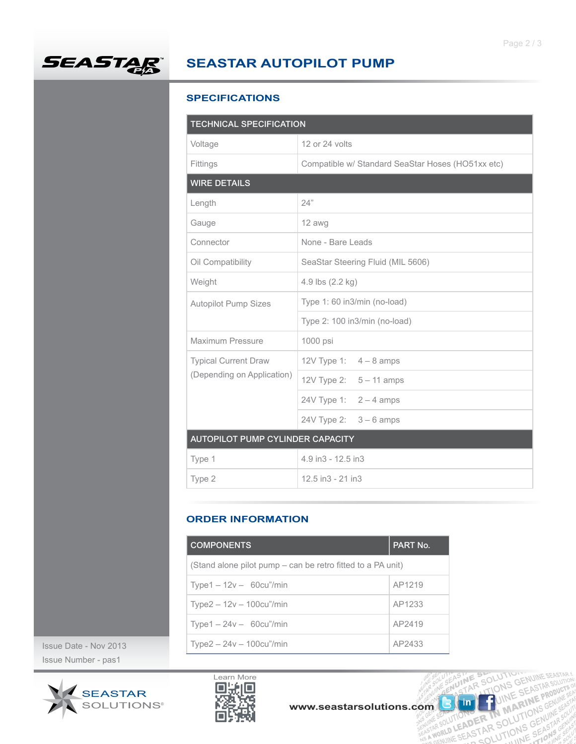

### **SEASTAR AUTOPILOT PUMP**

#### **SPECIFICATIONS**

| <b>TECHNICAL SPECIFICATION</b>                            |                                                   |  |  |  |
|-----------------------------------------------------------|---------------------------------------------------|--|--|--|
| Voltage                                                   | 12 or 24 volts                                    |  |  |  |
| Fittings                                                  | Compatible w/ Standard SeaStar Hoses (HO51xx etc) |  |  |  |
| <b>WIRE DETAILS</b>                                       |                                                   |  |  |  |
| Length                                                    | 24"                                               |  |  |  |
| Gauge                                                     | 12 awg                                            |  |  |  |
| Connector                                                 | None - Bare Leads                                 |  |  |  |
| Oil Compatibility                                         | SeaStar Steering Fluid (MIL 5606)                 |  |  |  |
| Weight                                                    | 4.9 lbs (2.2 kg)                                  |  |  |  |
| <b>Autopilot Pump Sizes</b>                               | Type 1: 60 in3/min (no-load)                      |  |  |  |
|                                                           | Type 2: 100 in3/min (no-load)                     |  |  |  |
| Maximum Pressure                                          | 1000 psi                                          |  |  |  |
| <b>Typical Current Draw</b><br>(Depending on Application) | 12V Type 1: $4-8$ amps                            |  |  |  |
|                                                           | 12V Type 2: $5 - 11$ amps                         |  |  |  |
|                                                           | 24V Type 1: $2 - 4$ amps                          |  |  |  |
|                                                           | 24V Type 2: $3 - 6$ amps                          |  |  |  |
| AUTOPILOT PUMP CYLINDER CAPACITY                          |                                                   |  |  |  |
| Type 1                                                    | 4.9 in3 - 12.5 in3                                |  |  |  |
| Type 2                                                    | 12.5 in3 - 21 in3                                 |  |  |  |

#### **ORDER INFORMATION**

|                                     | <b>COMPONENTS</b>                                           | PART No.                                            |  |
|-------------------------------------|-------------------------------------------------------------|-----------------------------------------------------|--|
|                                     | (Stand alone pilot pump – can be retro fitted to a PA unit) |                                                     |  |
|                                     | Type $1 - 12v - 60cu''/min$                                 | AP1219                                              |  |
|                                     | Type $2 - 12v - 100cu''/min$                                | AP1233                                              |  |
|                                     | $Type1 - 24v - 60cu''/min$                                  | AP2419                                              |  |
| $. -$ Nov 2013                      | $Type2 - 24v - 100cu''/min$                                 | AP2433                                              |  |
| ber - pas1                          |                                                             |                                                     |  |
| <b>SEASTAR</b><br><b>SOLUTIONS®</b> | Learn More                                                  | www.seastarsolutions.com<br>RENUINE SEASTAR SOLUTIC |  |

Issue Date - Nov 2013 Issue Number - pas1